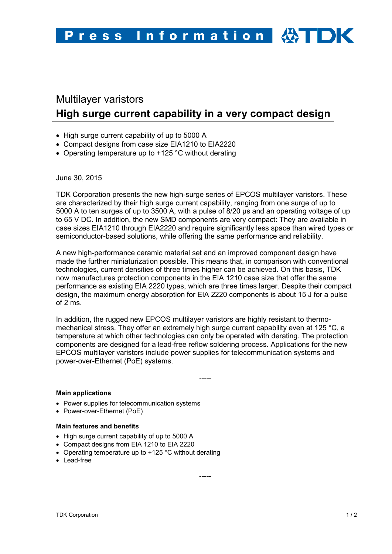# Multilayer varistors **High surge current capability in a very compact design**

- High surge current capability of up to 5000 A
- Compact designs from case size EIA1210 to EIA2220
- Operating temperature up to +125 °C without derating

June 30, 2015

TDK Corporation presents the new high-surge series of EPCOS multilayer varistors. These are characterized by their high surge current capability, ranging from one surge of up to 5000 A to ten surges of up to 3500 A, with a pulse of 8/20 µs and an operating voltage of up to 65 V DC. In addition, the new SMD components are very compact: They are available in case sizes EIA1210 through EIA2220 and require significantly less space than wired types or semiconductor-based solutions, while offering the same performance and reliability.

A new high-performance ceramic material set and an improved component design have made the further miniaturization possible. This means that, in comparison with conventional technologies, current densities of three times higher can be achieved. On this basis, TDK now manufactures protection components in the EIA 1210 case size that offer the same performance as existing EIA 2220 types, which are three times larger. Despite their compact design, the maximum energy absorption for EIA 2220 components is about 15 J for a pulse of 2 ms.

In addition, the rugged new EPCOS multilayer varistors are highly resistant to thermomechanical stress. They offer an extremely high surge current capability even at 125 °C, a temperature at which other technologies can only be operated with derating. The protection components are designed for a lead-free reflow soldering process. Applications for the new EPCOS multilayer varistors include power supplies for telecommunication systems and power-over-Ethernet (PoE) systems.

-----

## **Main applications**

- Power supplies for telecommunication systems
- Power-over-Ethernet (PoE)

## **Main features and benefits**

- High surge current capability of up to 5000 A
- Compact designs from EIA 1210 to EIA 2220
- Operating temperature up to +125 °C without derating
- Lead-free

-----